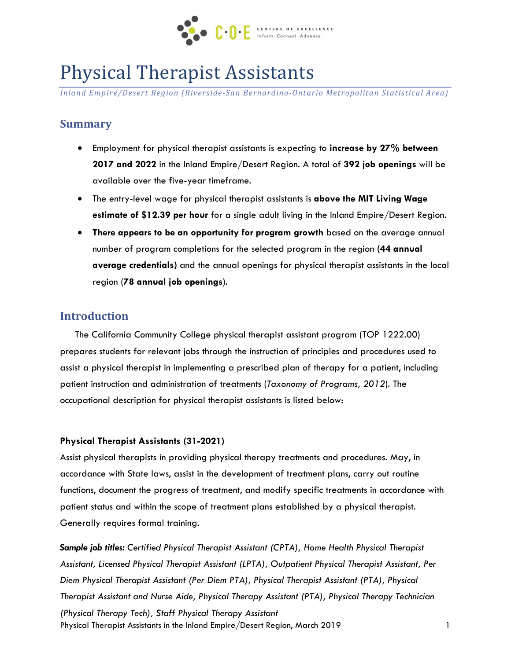

# Physical Therapist Assistants

*Inland Empire/Desert Region (Riverside-San Bernardino-Ontario Metropolitan Statistical Area)*

## **Summary**

- Employment for physical therapist assistants is expecting to **increase by 27% between 2017 and 2022** in the Inland Empire/Desert Region. A total of **392 job openings** will be available over the five-year timeframe.
- The entry-level wage for physical therapist assistants is **above the MIT Living Wage estimate of \$12.39 per hour** for a single adult living in the Inland Empire/Desert Region.
- **There appears to be an opportunity for program growth** based on the average annual number of program completions for the selected program in the region **(44 annual average credentials)** and the annual openings for physical therapist assistants in the local region (**78 annual job openings**).

## **Introduction**

The California Community College physical therapist assistant program (TOP 1222.00) prepares students for relevant jobs through the instruction of principles and procedures used to assist a physical therapist in implementing a prescribed plan of therapy for a patient, including patient instruction and administration of treatments (*Taxonomy of Programs, 2012*). The occupational description for physical therapist assistants is listed below:

#### **Physical Therapist Assistants (31-2021)**

Assist physical therapists in providing physical therapy treatments and procedures. May, in accordance with State laws, assist in the development of treatment plans, carry out routine functions, document the progress of treatment, and modify specific treatments in accordance with patient status and within the scope of treatment plans established by a physical therapist. Generally requires formal training.

Physical Therapist Assistants in the Inland Empire/Desert Region, March 2019 1 *Sample job titles: Certified Physical Therapist Assistant (CPTA), Home Health Physical Therapist Assistant, Licensed Physical Therapist Assistant (LPTA), Outpatient Physical Therapist Assistant, Per Diem Physical Therapist Assistant (Per Diem PTA), Physical Therapist Assistant (PTA), Physical Therapist Assistant and Nurse Aide, Physical Therapy Assistant (PTA), Physical Therapy Technician (Physical Therapy Tech), Staff Physical Therapy Assistant*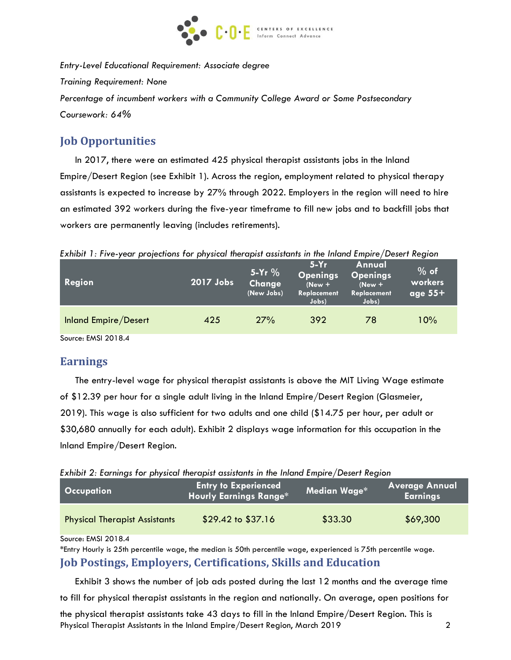

*Entry-Level Educational Requirement: Associate degree Training Requirement: None Percentage of incumbent workers with a Community College Award or Some Postsecondary Coursework: 64%*

## **Job Opportunities**

In 2017, there were an estimated 425 physical therapist assistants jobs in the Inland Empire/Desert Region (see Exhibit 1). Across the region, employment related to physical therapy assistants is expected to increase by 27% through 2022. Employers in the region will need to hire an estimated 392 workers during the five-year timeframe to fill new jobs and to backfill jobs that workers are permanently leaving (includes retirements).

*Exhibit 1: Five-year projections for physical therapist assistants in the Inland Empire/Desert Region*

| Region                      | 2017 Jobs | $5-Yr$ %<br>Change<br>(New Jobs) | $5-Yr$<br><b>Openings</b><br>$(New +$<br>Replacement<br>Jobs) | Annual<br>Openings<br>$(New +$<br>Replacement<br>Jobs) | $%$ of<br>workers<br>age $55+$ |
|-----------------------------|-----------|----------------------------------|---------------------------------------------------------------|--------------------------------------------------------|--------------------------------|
| <b>Inland Empire/Desert</b> | 425       | 27%                              | 392                                                           | 78                                                     | 10%                            |

Source: EMSI 2018.4

## **Earnings**

The entry-level wage for physical therapist assistants is above the MIT Living Wage estimate of \$12.39 per hour for a single adult living in the Inland Empire/Desert Region (Glasmeier, 2019). This wage is also sufficient for two adults and one child (\$14.75 per hour, per adult or \$30,680 annually for each adult). Exhibit 2 displays wage information for this occupation in the Inland Empire/Desert Region.

*Exhibit 2: Earnings for physical therapist assistants in the Inland Empire/Desert Region*

| <b>Occupation</b>                    | <b>Entry to Experienced</b><br><b>Hourly Earnings Range*</b> | Median Wage* | <b>Average Annual</b><br>  Earnings <sup> </sup> |
|--------------------------------------|--------------------------------------------------------------|--------------|--------------------------------------------------|
| <b>Physical Therapist Assistants</b> | $$29.42 \text{ to } $37.16$                                  | \$33.30      | \$69,300                                         |

Source: EMSI 2018.4

\*Entry Hourly is 25th percentile wage, the median is 50th percentile wage, experienced is 75th percentile wage. **Job Postings, Employers, Certifications, Skills and Education** 

Exhibit 3 shows the number of job ads posted during the last 12 months and the average time

to fill for physical therapist assistants in the region and nationally. On average, open positions for

Physical Therapist Assistants in the Inland Empire/Desert Region, March 2019 2 the physical therapist assistants take 43 days to fill in the Inland Empire/Desert Region. This is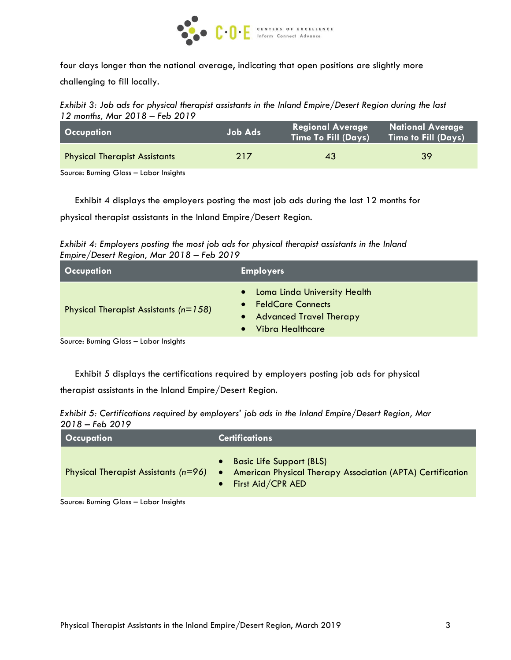

four days longer than the national average, indicating that open positions are slightly more challenging to fill locally.

*Exhibit 3: Job ads for physical therapist assistants in the Inland Empire/Desert Region during the last 12 months, Mar 2018 – Feb 2019*

| <b>Occupation</b>                               | <b>Job Ads</b> | <b>Regional Average</b><br><b>Time To Fill (Days)</b> | <b>National Average</b><br>Time to Fill (Days) |
|-------------------------------------------------|----------------|-------------------------------------------------------|------------------------------------------------|
| <b>Physical Therapist Assistants</b>            | 217            | 43                                                    | 39                                             |
| Carriera Divinta a Olares - Italia a la stalata |                |                                                       |                                                |

Source: Burning Glass – Labor Insights

Exhibit 4 displays the employers posting the most job ads during the last 12 months for

physical therapist assistants in the Inland Empire/Desert Region.

*Exhibit 4: Employers posting the most job ads for physical therapist assistants in the Inland Empire/Desert Region, Mar 2018 – Feb 2019*

| $\blacksquare$ Occupation $\blacksquare$                                                                                                                                                                                            | <b>Employers</b>                                                                                                               |
|-------------------------------------------------------------------------------------------------------------------------------------------------------------------------------------------------------------------------------------|--------------------------------------------------------------------------------------------------------------------------------|
| Physical Therapist Assistants ( $n=158$ )                                                                                                                                                                                           | Loma Linda University Health<br>$\bullet$<br>• FeldCare Connects<br>• Advanced Travel Therapy<br>Vibra Healthcare<br>$\bullet$ |
| <b>C.</b> B. P. C. Observation of the state of the state of the state of the state of the state of the state of the state of the state of the state of the state of the state of the state of the state of the state of the state o |                                                                                                                                |

Source: Burning Glass – Labor Insights

Exhibit 5 displays the certifications required by employers posting job ads for physical therapist assistants in the Inland Empire/Desert Region.

| Exhibit 5: Certifications required by employers' job ads in the Inland Empire/Desert Region, Mar |  |
|--------------------------------------------------------------------------------------------------|--|
| $2018 - Feb 2019$                                                                                |  |

| Occupation                             | <b>Certifications</b>                                                                                                        |  |  |
|----------------------------------------|------------------------------------------------------------------------------------------------------------------------------|--|--|
| Physical Therapist Assistants $(n=96)$ | • Basic Life Support (BLS)<br>American Physical Therapy Association (APTA) Certification<br>$\bullet$<br>• First Aid/CPR AED |  |  |

Source: Burning Glass – Labor Insights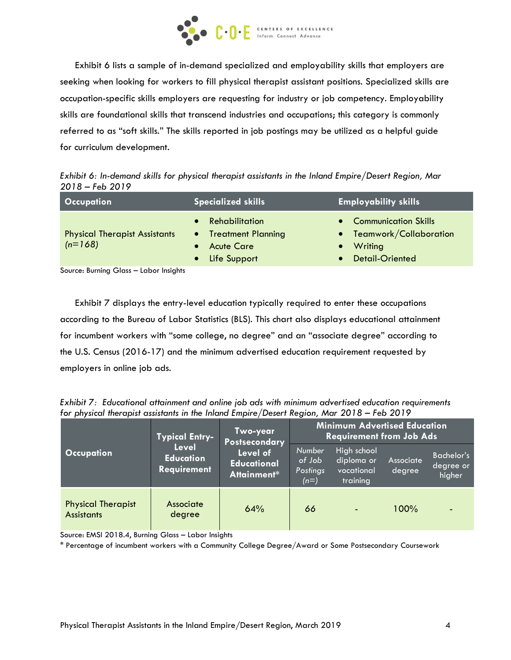

Exhibit 6 lists a sample of in-demand specialized and employability skills that employers are seeking when looking for workers to fill physical therapist assistant positions. Specialized skills are occupation-specific skills employers are requesting for industry or job competency. Employability skills are foundational skills that transcend industries and occupations; this category is commonly referred to as "soft skills." The skills reported in job postings may be utilized as a helpful guide for curriculum development.

*Exhibit 6: In-demand skills for physical therapist assistants in the Inland Empire/Desert Region, Mar 2018 – Feb 2019*

| <b>Occupation</b>                                 | <b>Specialized skills</b>                                                       | <b>Employability skills</b>                                                        |  |  |
|---------------------------------------------------|---------------------------------------------------------------------------------|------------------------------------------------------------------------------------|--|--|
| <b>Physical Therapist Assistants</b><br>$(n=168)$ | • Rehabilitation<br>• Treatment Planning<br><b>Acute Care</b><br>• Life Support | • Communication Skills<br>• Teamwork/Collaboration<br>Writing<br>• Detail-Oriented |  |  |

Source: Burning Glass – Labor Insights

Exhibit 7 displays the entry-level education typically required to enter these occupations according to the Bureau of Labor Statistics (BLS). This chart also displays educational attainment for incumbent workers with "some college, no degree" and an "associate degree" according to the U.S. Census (2016-17) and the minimum advertised education requirement requested by employers in online job ads.

*Exhibit 7: Educational attainment and online job ads with minimum advertised education requirements for physical therapist assistants in the Inland Empire/Desert Region, Mar 2018 – Feb 2019*

| <b>Typical Entry-</b>                          |                                                 | Two-year<br>Postsecondary                     | <b>Minimum Advertised Education</b><br><b>Requirement from Job Ads</b> |                                                     |                     |                                   |
|------------------------------------------------|-------------------------------------------------|-----------------------------------------------|------------------------------------------------------------------------|-----------------------------------------------------|---------------------|-----------------------------------|
| <b>Occupation</b>                              | Level<br><b>Education</b><br><b>Requirement</b> | Level of<br><b>Educational</b><br>Attainment* | <b>Number</b><br>of Job<br>Postings<br>$(n=)$                          | High school<br>diploma or<br>vocational<br>training | Associate<br>degree | Bachelor's<br>degree or<br>higher |
| <b>Physical Therapist</b><br><b>Assistants</b> | Associate<br>degree                             | 64%                                           | 66                                                                     | $\blacksquare$                                      | 100%                | ٠                                 |

Source: EMSI 2018.4, Burning Glass – Labor Insights

\* Percentage of incumbent workers with a Community College Degree/Award or Some Postsecondary Coursework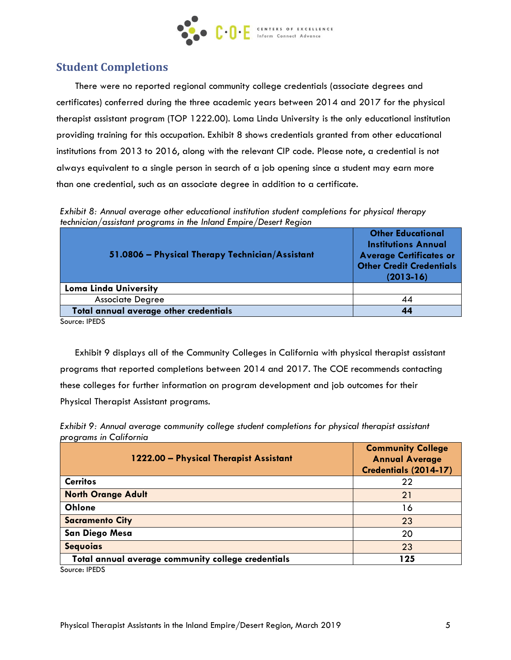

## **Student Completions**

There were no reported regional community college credentials (associate degrees and certificates) conferred during the three academic years between 2014 and 2017 for the physical therapist assistant program (TOP 1222.00). Loma Linda University is the only educational institution providing training for this occupation. Exhibit 8 shows credentials granted from other educational institutions from 2013 to 2016, along with the relevant CIP code. Please note, a credential is not always equivalent to a single person in search of a job opening since a student may earn more than one credential, such as an associate degree in addition to a certificate.

*Exhibit 8: Annual average other educational institution student completions for physical therapy technician/assistant programs in the Inland Empire/Desert Region*

| 51.0806 - Physical Therapy Technician/Assistant | <b>Other Educational</b><br><b>Institutions Annual</b><br><b>Average Certificates or</b><br><b>Other Credit Credentials</b><br>$(2013-16)$ |
|-------------------------------------------------|--------------------------------------------------------------------------------------------------------------------------------------------|
| <b>Loma Linda University</b>                    |                                                                                                                                            |
| <b>Associate Degree</b>                         | 44                                                                                                                                         |
| Total annual average other credentials          | 44                                                                                                                                         |
| Causse, IDENC                                   |                                                                                                                                            |

Source: IPEDS

Exhibit 9 displays all of the Community Colleges in California with physical therapist assistant programs that reported completions between 2014 and 2017. The COE recommends contacting these colleges for further information on program development and job outcomes for their Physical Therapist Assistant programs.

*Exhibit 9: Annual average community college student completions for physical therapist assistant programs in California*

| 1222.00 - Physical Therapist Assistant                            | <b>Community College</b><br><b>Annual Average</b><br>Credentials (2014-17) |
|-------------------------------------------------------------------|----------------------------------------------------------------------------|
| <b>Cerritos</b>                                                   | 22                                                                         |
| <b>North Orange Adult</b>                                         | 21                                                                         |
| Ohlone                                                            | 16                                                                         |
| <b>Sacramento City</b>                                            | 23                                                                         |
| San Diego Mesa                                                    | 20                                                                         |
| <b>Sequoias</b>                                                   | 23                                                                         |
| Total annual average community college credentials<br>$C = 1050C$ | 125                                                                        |

Source: IPEDS